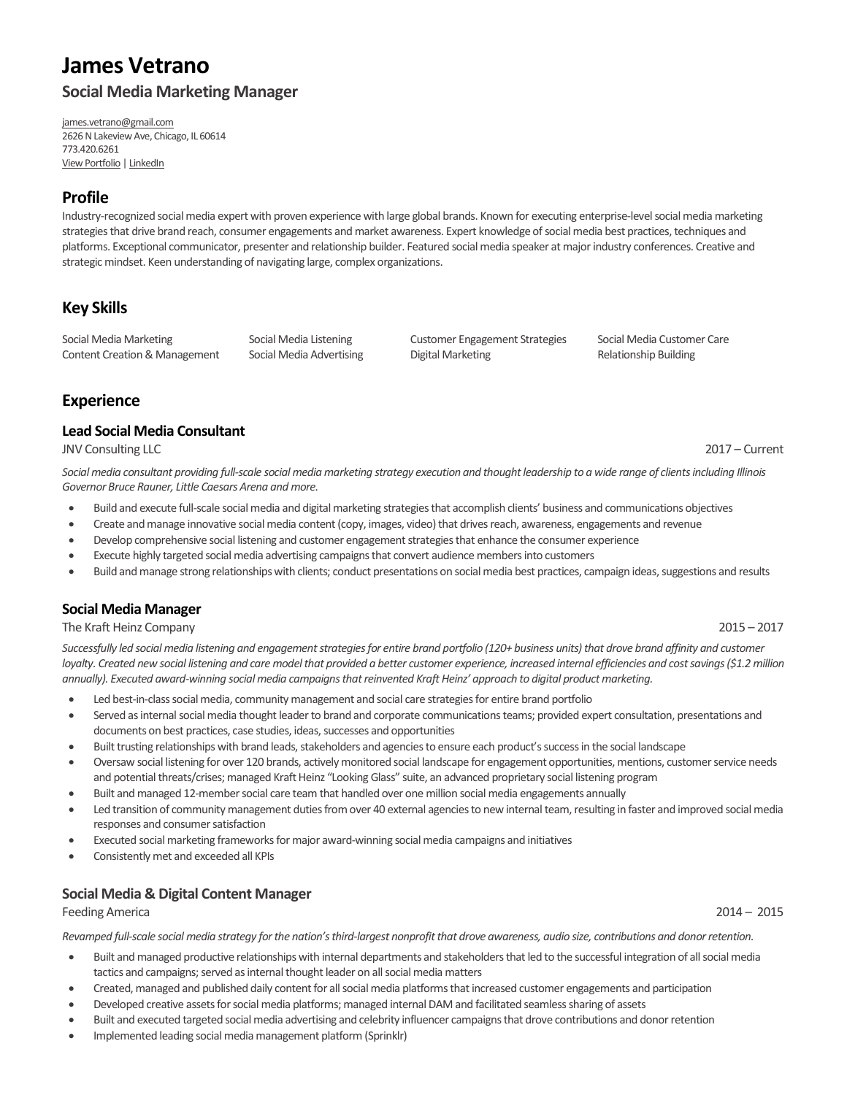# **James Vetrano Social Media Marketing Manager**

[james.vetrano@gmail.com](mailto:james.vetrano@gmail.com) 2626 N Lakeview Ave, Chicago, IL 60614 773.420.6261 [View Portfolio](http://www.jamesvetrano.com/) [| LinkedIn](http://www.linkedin.com/in/jamesvetrano/)

### **Profile**

Industry-recognized social media expert with proven experience with large global brands. Known for executing enterprise-level social media marketing strategiesthat drive brand reach, consumer engagements and market awareness. Expert knowledge of social media best practices, techniques and platforms. Exceptional communicator, presenter and relationship builder. Featured social media speaker at major industry conferences. Creative and strategic mindset. Keen understanding of navigating large, complex organizations.

# **Key Skills**

Social Media Marketing Social Media Listening Customer Engagement Strategies Social Media Customer Care Content Creation & Management Social Media Advertising Digital Marketing Digital Marketing Relationship Building

# **Experience**

### **Lead Social Media Consultant**

JNV Consulting LLC 2017 – Current

Social media consultant providing full-scale social media marketing strategy execution and thought leadership to a wide range of clients including Illinois *Governor Bruce Rauner, Little Caesars Arena and more.*

- Build and execute full-scale social media and digital marketing strategies that accomplish clients' business and communications objectives
- Create and manage innovative social media content (copy, images, video) that drives reach, awareness, engagements and revenue
- Develop comprehensive social listening and customer engagement strategies that enhance the consumer experience
- Execute highly targeted social media advertising campaigns that convert audience members into customers
- Build and manage strong relationships with clients; conduct presentations on social media best practices, campaign ideas, suggestions and results

### **Social Media Manager**

### The Kraft Heinz Company 2015 – 2017

Successfully led social media listening and engagement strategies for entire brand portfolio (120+ business units) that drove brand affinity and customer *loyalty. Created new social listening and care modelthat provided a better customer experience, increased internal efficiencies and cost savings (\$1.2 million annually). Executed award-winning social media campaigns that reinvented Kraft Heinz' approach to digital product marketing.*

- Led best-in-class social media, community management and social care strategies for entire brand portfolio
- Served as internal social media thought leader to brand and corporate communications teams; provided expert consultation, presentations and documents on best practices, case studies, ideas, successes and opportunities
- Built trusting relationships with brand leads, stakeholders and agenciesto ensure each product'ssuccess in the social landscape
- Oversaw social listening for over 120 brands, actively monitored social landscape for engagement opportunities, mentions, customer service needs and potential threats/crises; managed Kraft Heinz "Looking Glass" suite, an advanced proprietary social listening program
- Built and managed 12-member social care team that handled over one million social media engagements annually
- Led transition of community management duties from over 40 external agencies to new internal team, resulting in faster and improved social media responses and consumer satisfaction
- Executed social marketing frameworks formajor award-winning social media campaigns and initiatives
- Consistently met and exceeded all KPIs

### **Social Media & Digital Content Manager**

### Feeding America 2014 – 2015

*Revamped full-scale social media strategy for the nation's third-largest nonprofitthat drove awareness, audio size, contributions and donor retention.*

- Built and managed productive relationships with internal departments and stakeholders that led to the successful integration of all social media tactics and campaigns; served as internal thought leader on all social media matters
- Created, managed and published daily content for all social media platformsthat increased customer engagements and participation
- Developed creative assets for social media platforms; managed internal DAM and facilitated seamless sharing of assets
- Built and executed targeted social media advertising and celebrity influencer campaigns that drove contributions and donor retention
- Implemented leading social media management platform (Sprinklr)